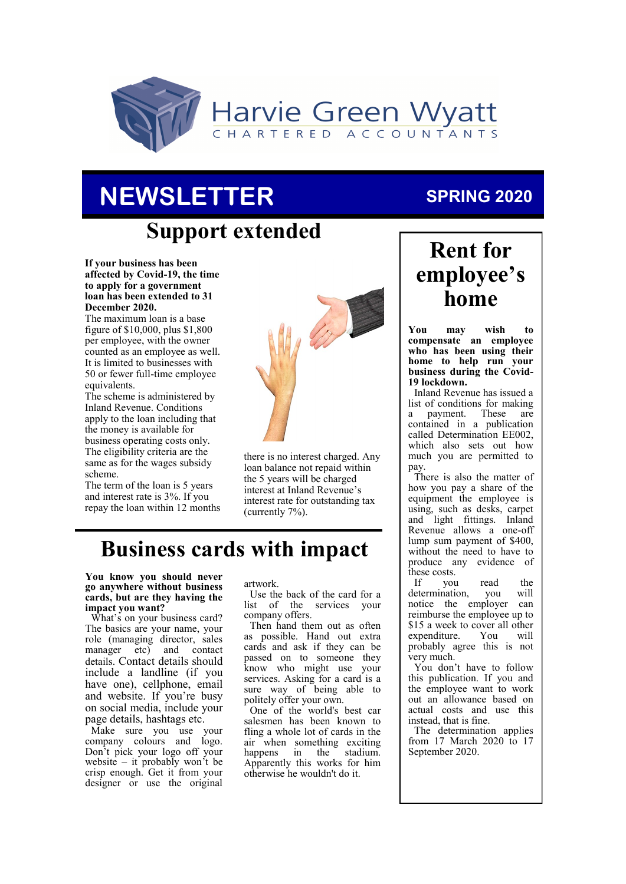

# **NEWSLETTER**

## **Support extended**

**If your business has been affected by Covid-19, the time to apply for a government loan has been extended to 31 December 2020.**

The maximum loan is a base figure of \$10,000, plus \$1,800 per employee, with the owner counted as an employee as well. It is limited to businesses with 50 or fewer full-time employee equivalents.

The scheme is administered by Inland Revenue. Conditions apply to the loan including that the money is available for business operating costs only. The eligibility criteria are the same as for the wages subsidy scheme.

The term of the loan is 5 years and interest rate is 3%. If you repay the loan within 12 months



there is no interest charged. Any loan balance not repaid within the 5 years will be charged interest at Inland Revenue's interest rate for outstanding tax (currently 7%).

### **Business cards with impact**

**You know you should never go anywhere without business cards, but are they having the impact you want?**

What's on your business card? The basics are your name, your role (managing director, sales manager etc) and contact details. Contact details should include a landline (if you have one), cellphone, email and website. If you're busy on social media, include your page details, hashtags etc.

Make sure you use your company colours and logo. Don't pick your logo off your website – it probably won't be crisp enough. Get it from your designer or use the original

artwork.

Use the back of the card for a list of the services your company offers.

Then hand them out as often as possible. Hand out extra cards and ask if they can be passed on to someone they know who might use your services. Asking for a card is a sure way of being able to politely offer your own.

One of the world's best car salesmen has been known to fling a whole lot of cards in the air when something exciting happens in the stadium. Apparently this works for him otherwise he wouldn't do it.

### **SPRING 2020**

## **Rent for employee's home**

**You may wish to compensate an employee who has been using their home to help run your business during the Covid-19 lockdown.** 

Inland Revenue has issued a list of conditions for making a payment. These are contained in a publication called Determination EE002, which also sets out how much you are permitted to pay.

There is also the matter of how you pay a share of the equipment the employee is using, such as desks, carpet and light fittings. Inland Revenue allows a one-off lump sum payment of \$400, without the need to have to produce any evidence of these costs.<br>If vou

you read the determination, you will notice the employer can reimburse the employee up to \$15 a week to cover all other<br>expenditure. You will expenditure. probably agree this is not very much.

You don't have to follow this publication. If you and the employee want to work out an allowance based on actual costs and use this instead, that is fine.

The determination applies from 17 March 2020 to 17 September 2020.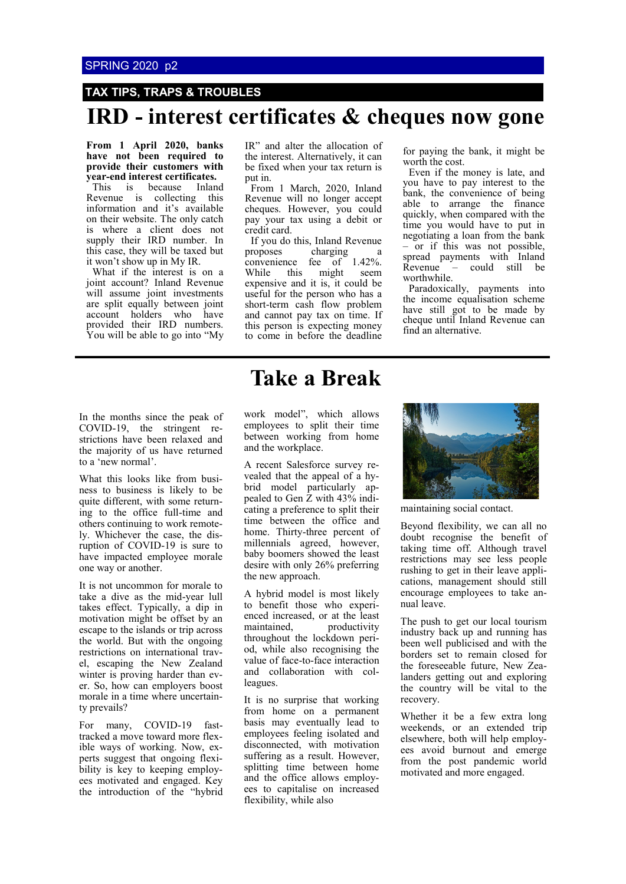### **TAX TIPS, TRAPS & TROUBLES**

### **IRD - interest certificates & cheques now gone**

**From 1 April 2020, banks have not been required to provide their customers with year-end interest certificates.** 

This is because Inland Revenue is collecting this information and it's available on their website. The only catch is where a client does not supply their IRD number. In this case, they will be taxed but it won't show up in My IR.

What if the interest is on a joint account? Inland Revenue will assume joint investments are split equally between joint account holders who have provided their IRD numbers. You will be able to go into "My IR" and alter the allocation of the interest. Alternatively, it can be fixed when your tax return is put in.

From 1 March, 2020, Inland Revenue will no longer accept cheques. However, you could pay your tax using a debit or credit card.

If you do this, Inland Revenue<br>proposes charging a charging convenience fee of 1.42%. While this might seem expensive and it is, it could be useful for the person who has a short-term cash flow problem and cannot pay tax on time. If this person is expecting money to come in before the deadline

for paying the bank, it might be worth the cost.

Even if the money is late, and you have to pay interest to the bank, the convenience of being able to arrange the finance quickly, when compared with the time you would have to put in negotiating a loan from the bank – or if this was not possible, spread payments with Inland<br>Revenue – could still be Revenue – could still be worthwhile.

Paradoxically, payments into the income equalisation scheme have still got to be made by cheque until Inland Revenue can find an alternative.

In the months since the peak of COVID-19, the stringent restrictions have been relaxed and the majority of us have returned to a 'new normal'.

What this looks like from business to business is likely to be quite different, with some returning to the office full-time and others continuing to work remotely. Whichever the case, the disruption of COVID-19 is sure to have impacted employee morale one way or another.

It is not uncommon for morale to take a dive as the mid-year lull takes effect. Typically, a dip in motivation might be offset by an escape to the islands or trip across the world. But with the ongoing restrictions on international travel, escaping the New Zealand winter is proving harder than ever. So, how can employers boost morale in a time where uncertainty prevails?

For many, COVID-19 fasttracked a move toward more flexible ways of working. Now, experts suggest that ongoing flexibility is key to keeping employees motivated and engaged. Key the introduction of the "hybrid

### **Take a Break**

work model", which allows employees to split their time between working from home and the workplace.

A recent Salesforce survey revealed that the appeal of a hybrid model particularly appealed to Gen Z with 43% indicating a preference to split their time between the office and home. Thirty-three percent of millennials agreed, however, baby boomers showed the least desire with only 26% preferring the new approach.

A hybrid model is most likely to benefit those who experienced increased, or at the least maintained, productivity throughout the lockdown period, while also recognising the value of face-to-face interaction and collaboration with colleagues.

It is no surprise that working from home on a permanent basis may eventually lead to employees feeling isolated and disconnected, with motivation suffering as a result. However, splitting time between home and the office allows employees to capitalise on increased flexibility, while also



maintaining social contact.

Beyond flexibility, we can all no doubt recognise the benefit of taking time off. Although travel restrictions may see less people rushing to get in their leave applications, management should still encourage employees to take annual leave.

The push to get our local tourism industry back up and running has been well publicised and with the borders set to remain closed for the foreseeable future, New Zealanders getting out and exploring the country will be vital to the recovery.

Whether it be a few extra long weekends, or an extended trip elsewhere, both will help employees avoid burnout and emerge from the post pandemic world motivated and more engaged.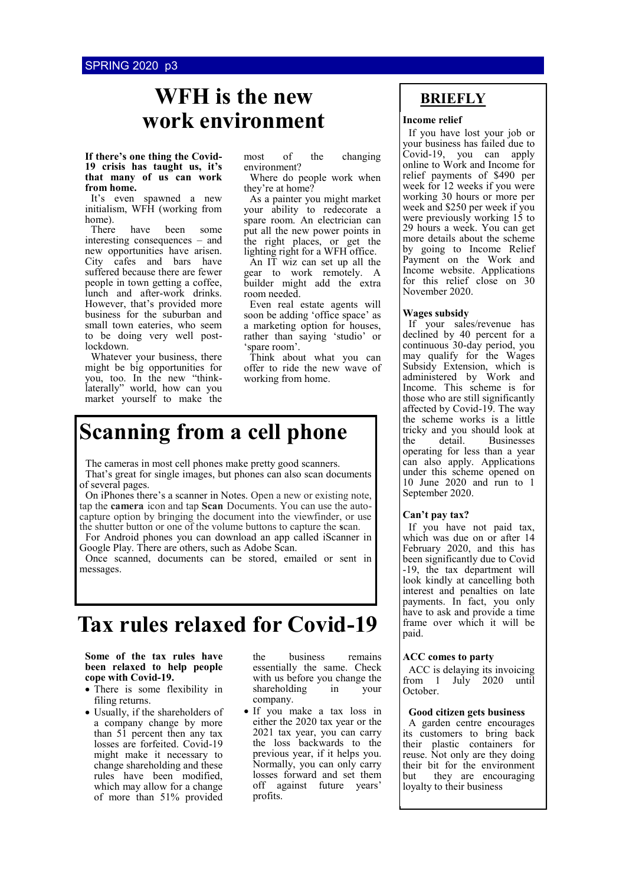### **WFH is the new work environment Income relief**

#### **If there's one thing the Covid-19 crisis has taught us, it's that many of us can work from home.**

It's even spawned a new initialism, WFH (working from home).

There have been some interesting consequences – and new opportunities have arisen. City cafes and bars have suffered because there are fewer people in town getting a coffee, lunch and after-work drinks. However, that's provided more business for the suburban and small town eateries, who seem to be doing very well postlockdown.

Whatever your business, there might be big opportunities for you, too. In the new "thinklaterally" world, how can you market yourself to make the most of the changing environment?

Where do people work when they're at home?

As a painter you might market your ability to redecorate a spare room. An electrician can put all the new power points in the right places, or get the lighting right for a WFH office.

An IT wiz can set up all the gear to work remotely. A builder might add the extra room needed.

Even real estate agents will soon be adding 'office space' as a marketing option for houses, rather than saying 'studio' or spare room'.

Think about what you can offer to ride the new wave of working from home.

## **Scanning from a cell phone**

The cameras in most cell phones make pretty good scanners. That's great for single images, but phones can also scan documents of several pages.

On iPhones there's a scanner in Notes. Open a new or existing note, tap the **camera** icon and tap **Scan** Documents. You can use the autocapture option by bringing the document into the viewfinder, or use the shutter button or one of the volume buttons to capture the **s**can.

For Android phones you can download an app called iScanner in Google Play. There are others, such as Adobe Scan.

Once scanned, documents can be stored, emailed or sent in messages.

## **Tax rules relaxed for Covid-19**

#### **Some of the tax rules have been relaxed to help people cope with Covid-19.**

- There is some flexibility in filing returns.
- Usually, if the shareholders of a company change by more than 51 percent then any tax losses are forfeited. Covid-19 might make it necessary to change shareholding and these rules have been modified, which may allow for a change of more than 51% provided

business remains essentially the same. Check with us before you change the shareholding in your company.

• If you make a tax loss in either the 2020 tax year or the 2021 tax year, you can carry the loss backwards to the previous year, if it helps you. Normally, you can only carry losses forward and set them off against future years' profits.

### **BRIEFLY**

If you have lost your job or your business has failed due to Covid-19, you can apply online to Work and Income for relief payments of \$490 per week for 12 weeks if you were working 30 hours or more per week and \$250 per week if you were previously working 15 to 29 hours a week. You can get more details about the scheme by going to Income Relief Payment on the Work and Income website. Applications for this relief close on 30 November 2020.

#### **Wages subsidy**

If your sales/revenue has declined by 40 percent for a continuous 30-day period, you may qualify for the Wages Subsidy Extension, which is administered by Work and Income. This scheme is for those who are still significantly affected by Covid-19. The way the scheme works is a little tricky and you should look at the detail. Businesses operating for less than a year can also apply. Applications under this scheme opened on 10 June 2020 and run to 1 September 2020.

#### **Can't pay tax?**

If you have not paid tax, which was due on or after 14 February 2020, and this has been significantly due to Covid -19, the tax department will look kindly at cancelling both interest and penalties on late payments. In fact, you only have to ask and provide a time frame over which it will be paid.

#### **ACC comes to party**

ACC is delaying its invoicing from 1 July 2020 until October.

#### **Good citizen gets business**

A garden centre encourages its customers to bring back their plastic containers for reuse. Not only are they doing their bit for the environment but they are encouraging loyalty to their business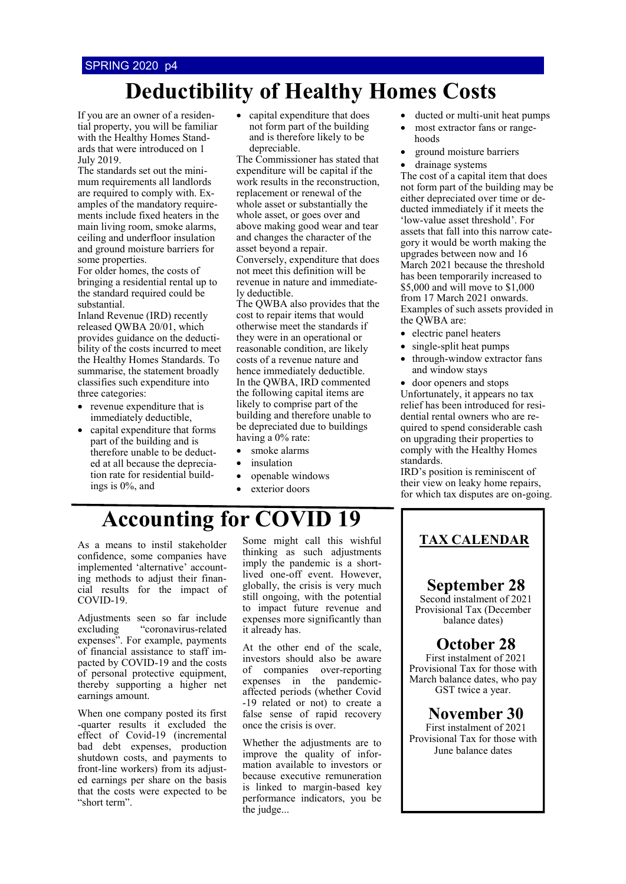## **Deductibility of Healthy Homes Costs**

If you are an owner of a residential property, you will be familiar with the Healthy Homes Standards that were introduced on 1 July 2019.

The standards set out the minimum requirements all landlords are required to comply with. Examples of the mandatory requirements include fixed heaters in the main living room, smoke alarms, ceiling and underfloor insulation and ground moisture barriers for some properties.

For older homes, the costs of bringing a residential rental up to the standard required could be substantial.

Inland Revenue (IRD) recently released QWBA 20/01, which provides guidance on the deductibility of the costs incurred to meet the Healthy Homes Standards. To summarise, the statement broadly classifies such expenditure into three categories:

- revenue expenditure that is immediately deductible,
- capital expenditure that forms part of the building and is therefore unable to be deducted at all because the depreciation rate for residential buildings is 0%, and

• capital expenditure that does not form part of the building and is therefore likely to be depreciable.

The Commissioner has stated that expenditure will be capital if the work results in the reconstruction, replacement or renewal of the whole asset or substantially the whole asset, or goes over and above making good wear and tear and changes the character of the asset beyond a repair.

Conversely, expenditure that does not meet this definition will be revenue in nature and immediately deductible.

The QWBA also provides that the cost to repair items that would otherwise meet the standards if they were in an operational or reasonable condition, are likely costs of a revenue nature and hence immediately deductible. In the QWBA, IRD commented the following capital items are likely to comprise part of the building and therefore unable to be depreciated due to buildings having a 0% rate:

- smoke alarms
- *insulation*
- openable windows
- exterior doors
- ducted or multi-unit heat pumps
- most extractor fans or rangehoods
- ground moisture barriers
- drainage systems

The cost of a capital item that does not form part of the building may be either depreciated over time or deducted immediately if it meets the 'low-value asset threshold'. For assets that fall into this narrow category it would be worth making the upgrades between now and 16 March 2021 because the threshold has been temporarily increased to \$5,000 and will move to \$1,000 from 17 March 2021 onwards. Examples of such assets provided in the QWBA are:

- electric panel heaters
- single-split heat pumps
- through-window extractor fans and window stays

• door openers and stops Unfortunately, it appears no tax relief has been introduced for residential rental owners who are required to spend considerable cash on upgrading their properties to comply with the Healthy Homes standards.

IRD's position is reminiscent of their view on leaky home repairs, for which tax disputes are on-going.

## **Accounting for COVID 19**

As a means to instil stakeholder confidence, some companies have implemented 'alternative' accounting methods to adjust their financial results for the impact of COVID-19.

Adjustments seen so far include excluding "coronavirus-related expenses". For example, payments of financial assistance to staff impacted by COVID-19 and the costs of personal protective equipment, thereby supporting a higher net earnings amount.

When one company posted its first -quarter results it excluded the effect of Covid-19 (incremental bad debt expenses, production shutdown costs, and payments to front-line workers) from its adjusted earnings per share on the basis that the costs were expected to be "short term".

Some might call this wishful thinking as such adjustments imply the pandemic is a shortlived one-off event. However, globally, the crisis is very much still ongoing, with the potential to impact future revenue and expenses more significantly than it already has.

At the other end of the scale, investors should also be aware of companies over-reporting expenses in the pandemicaffected periods (whether Covid -19 related or not) to create a false sense of rapid recovery once the crisis is over.

Whether the adjustments are to improve the quality of information available to investors or because executive remuneration is linked to margin-based key performance indicators, you be the judge...

### **TAX CALENDAR**

### **September 28**

Second instalment of 2021 Provisional Tax (December balance dates)

### **October 28**

First instalment of 2021 Provisional Tax for those with March balance dates, who pay GST twice a year.

### **November 30**

First instalment of 2021 Provisional Tax for those with June balance dates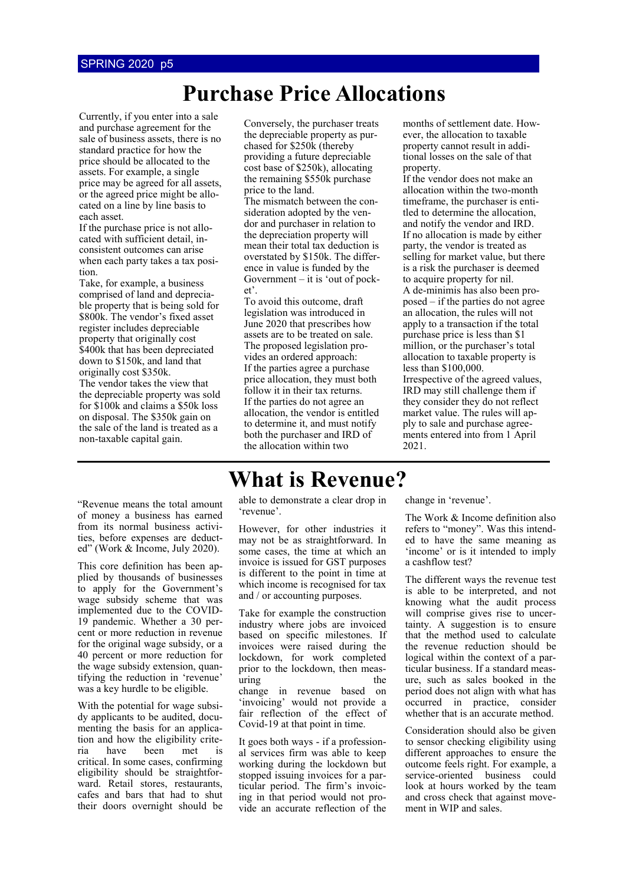## **Purchase Price Allocations**

Currently, if you enter into a sale and purchase agreement for the sale of business assets, there is no standard practice for how the price should be allocated to the assets. For example, a single price may be agreed for all assets, or the agreed price might be allocated on a line by line basis to each asset.

If the purchase price is not allocated with sufficient detail, inconsistent outcomes can arise when each party takes a tax position.

Take, for example, a business comprised of land and depreciable property that is being sold for \$800k. The vendor's fixed asset register includes depreciable property that originally cost \$400k that has been depreciated down to \$150k, and land that originally cost \$350k. The vendor takes the view that the depreciable property was sold for \$100k and claims a \$50k loss on disposal. The \$350k gain on the sale of the land is treated as a non-taxable capital gain.

Conversely, the purchaser treats the depreciable property as purchased for \$250k (thereby providing a future depreciable cost base of \$250k), allocating the remaining \$550k purchase price to the land. The mismatch between the consideration adopted by the vendor and purchaser in relation to the depreciation property will mean their total tax deduction is overstated by \$150k. The difference in value is funded by the

Government  $-$  it is 'out of pocket'. To avoid this outcome, draft legislation was introduced in June 2020 that prescribes how assets are to be treated on sale. The proposed legislation provides an ordered approach: If the parties agree a purchase price allocation, they must both follow it in their tax returns. If the parties do not agree an allocation, the vendor is entitled to determine it, and must notify both the purchaser and IRD of the allocation within two

months of settlement date. However, the allocation to taxable property cannot result in additional losses on the sale of that property.

If the vendor does not make an allocation within the two-month timeframe, the purchaser is entitled to determine the allocation, and notify the vendor and IRD. If no allocation is made by either party, the vendor is treated as selling for market value, but there is a risk the purchaser is deemed to acquire property for nil. A de-minimis has also been proposed – if the parties do not agree an allocation, the rules will not apply to a transaction if the total purchase price is less than \$1 million, or the purchaser's total allocation to taxable property is less than \$100,000. Irrespective of the agreed values, IRD may still challenge them if they consider they do not reflect market value. The rules will apply to sale and purchase agreements entered into from 1 April 2021.

#### "Revenue means the total amount of money a business has earned from its normal business activities, before expenses are deducted" (Work & Income, July 2020).

This core definition has been applied by thousands of businesses to apply for the Government's wage subsidy scheme that was implemented due to the COVID-19 pandemic. Whether a 30 percent or more reduction in revenue for the original wage subsidy, or a 40 percent or more reduction for the wage subsidy extension, quantifying the reduction in 'revenue' was a key hurdle to be eligible.

With the potential for wage subsidy applicants to be audited, documenting the basis for an application and how the eligibility criteria have been met is critical. In some cases, confirming eligibility should be straightforward. Retail stores, restaurants, cafes and bars that had to shut their doors overnight should be able to demonstrate a clear drop in 'revenue'.

**What is Revenue?**

However, for other industries it may not be as straightforward. In some cases, the time at which an invoice is issued for GST purposes is different to the point in time at which income is recognised for tax and / or accounting purposes.

Take for example the construction industry where jobs are invoiced based on specific milestones. If invoices were raised during the lockdown, for work completed prior to the lockdown, then measuring the the change in revenue based on 'invoicing' would not provide a fair reflection of the effect of Covid-19 at that point in time.

It goes both ways - if a professional services firm was able to keep working during the lockdown but stopped issuing invoices for a particular period. The firm's invoicing in that period would not provide an accurate reflection of the change in 'revenue'.

The Work & Income definition also refers to "money". Was this intended to have the same meaning as 'income' or is it intended to imply a cashflow test?

The different ways the revenue test is able to be interpreted, and not knowing what the audit process will comprise gives rise to uncertainty. A suggestion is to ensure that the method used to calculate the revenue reduction should be logical within the context of a particular business. If a standard measure, such as sales booked in the period does not align with what has occurred in practice, consider whether that is an accurate method.

Consideration should also be given to sensor checking eligibility using different approaches to ensure the outcome feels right. For example, a service-oriented business could look at hours worked by the team and cross check that against movement in WIP and sales.